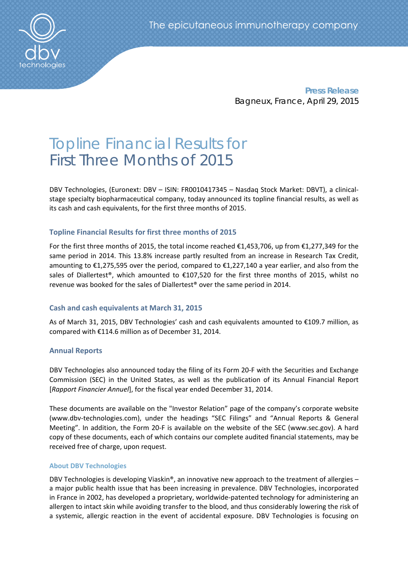

**Press Release** Bagneux, France, April 29, 2015

# Topline Financial Results for First Three Months of 2015

DBV Technologies, (Euronext: DBV – ISIN: FR0010417345 – Nasdaq Stock Market: DBVT), a clinicalstage specialty biopharmaceutical company, today announced its topline financial results, as well as its cash and cash equivalents, for the first three months of 2015.

# **Topline Financial Results for first three months of 2015**

For the first three months of 2015, the total income reached €1,453,706, up from €1,277,349 for the same period in 2014. This 13.8% increase partly resulted from an increase in Research Tax Credit, amounting to €1,275,595 over the period, compared to €1,227,140 a year earlier, and also from the sales of Diallertest®, which amounted to €107,520 for the first three months of 2015, whilst no revenue was booked for the sales of Diallertest® over the same period in 2014.

# **Cash and cash equivalents at March 31, 2015**

As of March 31, 2015, DBV Technologies' cash and cash equivalents amounted to €109.7 million, as compared with €114.6 million as of December 31, 2014.

# **Annual Reports**

DBV Technologies also announced today the filing of its Form 20-F with the Securities and Exchange Commission (SEC) in the United States, as well as the publication of its Annual Financial Report [*Rapport Financier Annuel*], for the fiscal year ended December 31, 2014.

These documents are available on the "Investor Relation" page of the company's corporate website (www.dbv‐technologies.com), under the headings "SEC Filings" and "Annual Reports & General Meeting". In addition, the Form 20‐F is available on the website of the SEC (www.sec.gov). A hard copy of these documents, each of which contains our complete audited financial statements, may be received free of charge, upon request.

## **About DBV Technologies**

DBV Technologies is developing Viaskin®, an innovative new approach to the treatment of allergies – a major public health issue that has been increasing in prevalence. DBV Technologies, incorporated in France in 2002, has developed a proprietary, worldwide‐patented technology for administering an allergen to intact skin while avoiding transfer to the blood, and thus considerably lowering the risk of a systemic, allergic reaction in the event of accidental exposure. DBV Technologies is focusing on